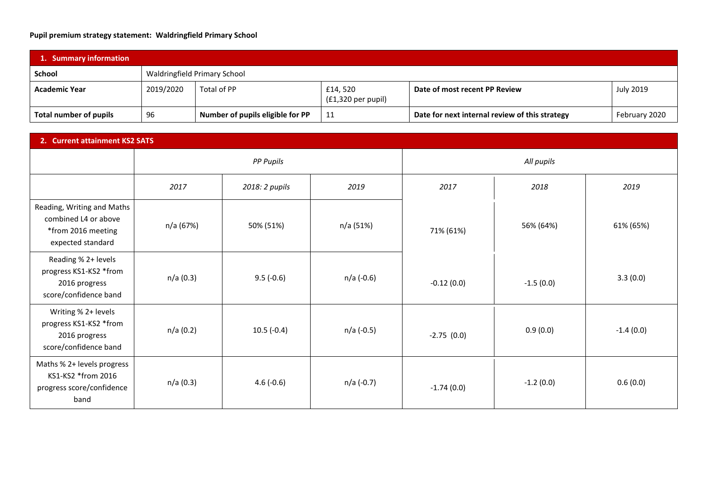## **Pupil premium strategy statement: Waldringfield Primary School**

| 1. Summary information        |                              |                                  |                                         |                                                |               |  |
|-------------------------------|------------------------------|----------------------------------|-----------------------------------------|------------------------------------------------|---------------|--|
| School                        | Waldringfield Primary School |                                  |                                         |                                                |               |  |
| <b>Academic Year</b>          | 2019/2020                    | Total of PP                      | £14,520<br>$(f1,320 \text{ per pupil})$ | Date of most recent PP Review                  | July 2019     |  |
| <b>Total number of pupils</b> | 96                           | Number of pupils eligible for PP | 11                                      | Date for next internal review of this strategy | February 2020 |  |

| 2. Current attainment KS2 SATS                                                                |                  |                |            |              |             |             |  |
|-----------------------------------------------------------------------------------------------|------------------|----------------|------------|--------------|-------------|-------------|--|
|                                                                                               | <b>PP Pupils</b> |                |            | All pupils   |             |             |  |
|                                                                                               | 2017             | 2018: 2 pupils | 2019       | 2017         | 2018        | 2019        |  |
| Reading, Writing and Maths<br>combined L4 or above<br>*from 2016 meeting<br>expected standard | n/a (67%)        | 50% (51%)      | n/a (51%)  | 71% (61%)    | 56% (64%)   | 61% (65%)   |  |
| Reading % 2+ levels<br>progress KS1-KS2 *from<br>2016 progress<br>score/confidence band       | n/a (0.3)        | $9.5(-0.6)$    | n/a (-0.6) | $-0.12(0.0)$ | $-1.5(0.0)$ | 3.3(0.0)    |  |
| Writing % 2+ levels<br>progress KS1-KS2 *from<br>2016 progress<br>score/confidence band       | n/a(0.2)         | $10.5(-0.4)$   | n/a (-0.5) | $-2.75(0.0)$ | 0.9(0.0)    | $-1.4(0.0)$ |  |
| Maths % 2+ levels progress<br>KS1-KS2 *from 2016<br>progress score/confidence<br>band         | n/a(0.3)         | $4.6(-0.6)$    | n/a (-0.7) | $-1.74(0.0)$ | $-1.2(0.0)$ | 0.6(0.0)    |  |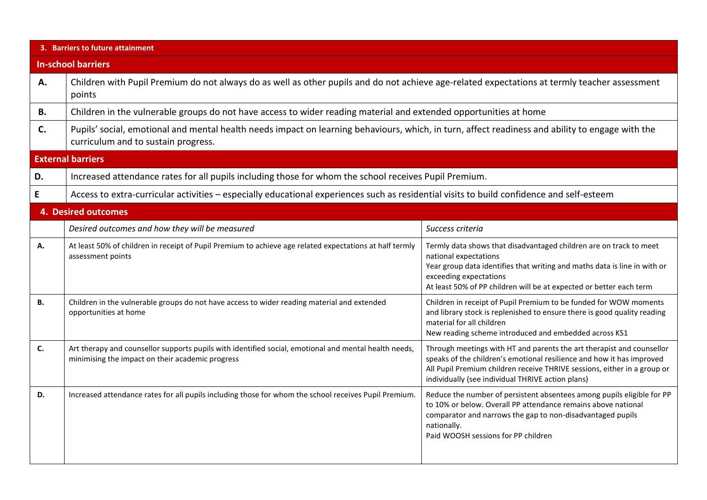|                           | 3. Barriers to future attainment                                                                                                                                                        |                                                                                                                                                                                                                                                                                 |  |  |  |  |  |
|---------------------------|-----------------------------------------------------------------------------------------------------------------------------------------------------------------------------------------|---------------------------------------------------------------------------------------------------------------------------------------------------------------------------------------------------------------------------------------------------------------------------------|--|--|--|--|--|
| <b>In-school barriers</b> |                                                                                                                                                                                         |                                                                                                                                                                                                                                                                                 |  |  |  |  |  |
| Α.                        | Children with Pupil Premium do not always do as well as other pupils and do not achieve age-related expectations at termly teacher assessment<br>points                                 |                                                                                                                                                                                                                                                                                 |  |  |  |  |  |
| <b>B.</b>                 | Children in the vulnerable groups do not have access to wider reading material and extended opportunities at home                                                                       |                                                                                                                                                                                                                                                                                 |  |  |  |  |  |
| C.                        | Pupils' social, emotional and mental health needs impact on learning behaviours, which, in turn, affect readiness and ability to engage with the<br>curriculum and to sustain progress. |                                                                                                                                                                                                                                                                                 |  |  |  |  |  |
|                           | <b>External barriers</b>                                                                                                                                                                |                                                                                                                                                                                                                                                                                 |  |  |  |  |  |
| D.                        | Increased attendance rates for all pupils including those for whom the school receives Pupil Premium.                                                                                   |                                                                                                                                                                                                                                                                                 |  |  |  |  |  |
| E                         | Access to extra-curricular activities - especially educational experiences such as residential visits to build confidence and self-esteem                                               |                                                                                                                                                                                                                                                                                 |  |  |  |  |  |
|                           | <b>4. Desired outcomes</b>                                                                                                                                                              |                                                                                                                                                                                                                                                                                 |  |  |  |  |  |
|                           | Desired outcomes and how they will be measured                                                                                                                                          | Success criteria                                                                                                                                                                                                                                                                |  |  |  |  |  |
| Α.                        | At least 50% of children in receipt of Pupil Premium to achieve age related expectations at half termly<br>assessment points                                                            | Termly data shows that disadvantaged children are on track to meet<br>national expectations<br>Year group data identifies that writing and maths data is line in with or<br>exceeding expectations<br>At least 50% of PP children will be at expected or better each term       |  |  |  |  |  |
| В.                        | Children in the vulnerable groups do not have access to wider reading material and extended<br>opportunities at home                                                                    | Children in receipt of Pupil Premium to be funded for WOW moments<br>and library stock is replenished to ensure there is good quality reading<br>material for all children<br>New reading scheme introduced and embedded across KS1                                             |  |  |  |  |  |
| C.                        | Art therapy and counsellor supports pupils with identified social, emotional and mental health needs,<br>minimising the impact on their academic progress                               | Through meetings with HT and parents the art therapist and counsellor<br>speaks of the children's emotional resilience and how it has improved<br>All Pupil Premium children receive THRIVE sessions, either in a group or<br>individually (see individual THRIVE action plans) |  |  |  |  |  |
| D.                        | Increased attendance rates for all pupils including those for whom the school receives Pupil Premium.                                                                                   | Reduce the number of persistent absentees among pupils eligible for PP<br>to 10% or below. Overall PP attendance remains above national<br>comparator and narrows the gap to non-disadvantaged pupils<br>nationally.<br>Paid WOOSH sessions for PP children                     |  |  |  |  |  |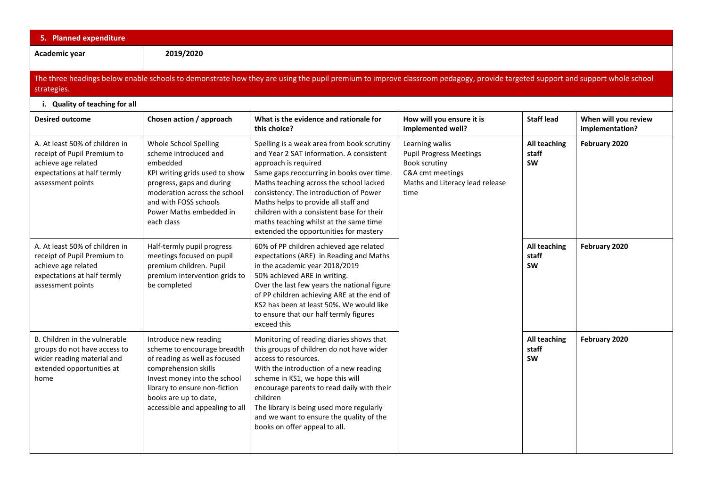| 5. Planned expenditure                                                                                                                                                                      |                                                                                                                                                                                                                                            |                                                                                                                                                                                                                                                                                                                                                                                                                           |                                                                                                                                  |                                    |                                         |  |  |
|---------------------------------------------------------------------------------------------------------------------------------------------------------------------------------------------|--------------------------------------------------------------------------------------------------------------------------------------------------------------------------------------------------------------------------------------------|---------------------------------------------------------------------------------------------------------------------------------------------------------------------------------------------------------------------------------------------------------------------------------------------------------------------------------------------------------------------------------------------------------------------------|----------------------------------------------------------------------------------------------------------------------------------|------------------------------------|-----------------------------------------|--|--|
| Academic year                                                                                                                                                                               | 2019/2020                                                                                                                                                                                                                                  |                                                                                                                                                                                                                                                                                                                                                                                                                           |                                                                                                                                  |                                    |                                         |  |  |
| The three headings below enable schools to demonstrate how they are using the pupil premium to improve classroom pedagogy, provide targeted support and support whole school<br>strategies. |                                                                                                                                                                                                                                            |                                                                                                                                                                                                                                                                                                                                                                                                                           |                                                                                                                                  |                                    |                                         |  |  |
| i. Quality of teaching for all                                                                                                                                                              |                                                                                                                                                                                                                                            |                                                                                                                                                                                                                                                                                                                                                                                                                           |                                                                                                                                  |                                    |                                         |  |  |
| <b>Desired outcome</b>                                                                                                                                                                      | Chosen action / approach                                                                                                                                                                                                                   | What is the evidence and rationale for<br>this choice?                                                                                                                                                                                                                                                                                                                                                                    | How will you ensure it is<br>implemented well?                                                                                   | <b>Staff lead</b>                  | When will you review<br>implementation? |  |  |
| A. At least 50% of children in<br>receipt of Pupil Premium to<br>achieve age related<br>expectations at half termly<br>assessment points                                                    | Whole School Spelling<br>scheme introduced and<br>embedded<br>KPI writing grids used to show<br>progress, gaps and during<br>moderation across the school<br>and with FOSS schools<br>Power Maths embedded in<br>each class                | Spelling is a weak area from book scrutiny<br>and Year 2 SAT information. A consistent<br>approach is required<br>Same gaps reoccurring in books over time.<br>Maths teaching across the school lacked<br>consistency. The introduction of Power<br>Maths helps to provide all staff and<br>children with a consistent base for their<br>maths teaching whilst at the same time<br>extended the opportunities for mastery | Learning walks<br><b>Pupil Progress Meetings</b><br>Book scrutiny<br>C&A cmt meetings<br>Maths and Literacy lead release<br>time | All teaching<br>staff<br><b>SW</b> | February 2020                           |  |  |
| A. At least 50% of children in<br>receipt of Pupil Premium to<br>achieve age related<br>expectations at half termly<br>assessment points                                                    | Half-termly pupil progress<br>meetings focused on pupil<br>premium children. Pupil<br>premium intervention grids to<br>be completed                                                                                                        | 60% of PP children achieved age related<br>expectations (ARE) in Reading and Maths<br>in the academic year 2018/2019<br>50% achieved ARE in writing.<br>Over the last few years the national figure<br>of PP children achieving ARE at the end of<br>KS2 has been at least 50%. We would like<br>to ensure that our half termly figures<br>exceed this                                                                    |                                                                                                                                  | All teaching<br>staff<br>SW        | February 2020                           |  |  |
| B. Children in the vulnerable<br>groups do not have access to<br>wider reading material and<br>extended opportunities at<br>home                                                            | Introduce new reading<br>scheme to encourage breadth<br>of reading as well as focused<br>comprehension skills<br>Invest money into the school<br>library to ensure non-fiction<br>books are up to date,<br>accessible and appealing to all | Monitoring of reading diaries shows that<br>this groups of children do not have wider<br>access to resources.<br>With the introduction of a new reading<br>scheme in KS1, we hope this will<br>encourage parents to read daily with their<br>children<br>The library is being used more regularly<br>and we want to ensure the quality of the<br>books on offer appeal to all.                                            |                                                                                                                                  | All teaching<br>staff<br><b>SW</b> | February 2020                           |  |  |